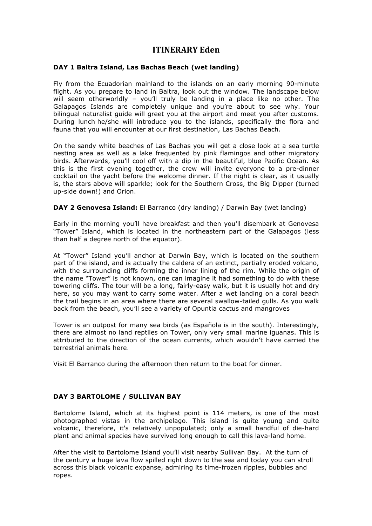# **ITINERARY Eden**

### **DAY 1 Baltra Island, Las Bachas Beach (wet landing)**

Fly from the Ecuadorian mainland to the islands on an early morning 90-minute flight. As you prepare to land in Baltra, look out the window. The landscape below will seem otherworldly - you'll truly be landing in a place like no other. The Galapagos Islands are completely unique and you're about to see why. Your bilingual naturalist guide will greet you at the airport and meet you after customs. During lunch he/she will introduce you to the islands, specifically the flora and fauna that you will encounter at our first destination, Las Bachas Beach.

On the sandy white beaches of Las Bachas you will get a close look at a sea turtle nesting area as well as a lake frequented by pink flamingos and other migratory birds. Afterwards, you'll cool off with a dip in the beautiful, blue Pacific Ocean. As this is the first evening together, the crew will invite everyone to a pre-dinner cocktail on the yacht before the welcome dinner. If the night is clear, as it usually is, the stars above will sparkle; look for the Southern Cross, the Big Dipper (turned up-side down!) and Orion.

**DAY 2 Genovesa Island:** El Barranco (dry landing) / Darwin Bay (wet landing)

Early in the morning you'll have breakfast and then you'll disembark at Genovesa "Tower" Island, which is located in the northeastern part of the Galapagos (less than half a degree north of the equator).

At "Tower" Island you'll anchor at Darwin Bay, which is located on the southern part of the island, and is actually the caldera of an extinct, partially eroded volcano, with the surrounding cliffs forming the inner lining of the rim. While the origin of the name "Tower" is not known, one can imagine it had something to do with these towering cliffs. The tour will be a long, fairly-easy walk, but it is usually hot and dry here, so you may want to carry some water. After a wet landing on a coral beach the trail begins in an area where there are several swallow-tailed gulls. As you walk back from the beach, you'll see a variety of Opuntia cactus and mangroves

Tower is an outpost for many sea birds (as Española is in the south). Interestingly, there are almost no land reptiles on Tower, only very small marine iguanas. This is attributed to the direction of the ocean currents, which wouldn't have carried the terrestrial animals here.

Visit El Barranco during the afternoon then return to the boat for dinner.

#### **DAY 3 BARTOLOME / SULLIVAN BAY**

Bartolome Island, which at its highest point is 114 meters, is one of the most photographed vistas in the archipelago. This island is quite young and quite volcanic, therefore, it's relatively unpopulated; only a small handful of die-hard plant and animal species have survived long enough to call this lava-land home.

After the visit to Bartolome Island you'll visit nearby Sullivan Bay. At the turn of the century a huge lava flow spilled right down to the sea and today you can stroll across this black volcanic expanse, admiring its time-frozen ripples, bubbles and ropes.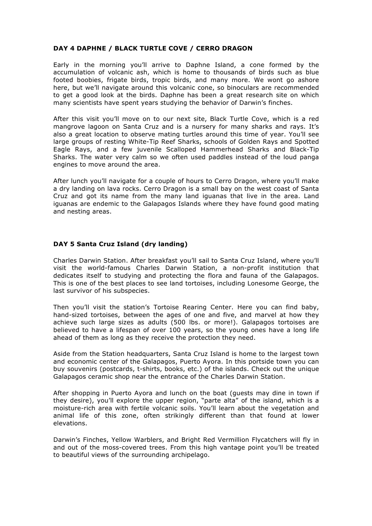### **DAY 4 DAPHNE / BLACK TURTLE COVE / CERRO DRAGON**

Early in the morning you'll arrive to Daphne Island, a cone formed by the accumulation of volcanic ash, which is home to thousands of birds such as blue footed boobies, frigate birds, tropic birds, and many more. We wont go ashore here, but we'll navigate around this volcanic cone, so binoculars are recommended to get a good look at the birds. Daphne has been a great research site on which many scientists have spent years studying the behavior of Darwin's finches.

After this visit you'll move on to our next site, Black Turtle Cove, which is a red mangrove lagoon on Santa Cruz and is a nursery for many sharks and rays. It's also a great location to observe mating turtles around this time of year. You'll see large groups of resting White-Tip Reef Sharks, schools of Golden Rays and Spotted Eagle Rays, and a few juvenile Scalloped Hammerhead Sharks and Black-Tip Sharks. The water very calm so we often used paddles instead of the loud panga engines to move around the area.

After lunch you'll navigate for a couple of hours to Cerro Dragon, where you'll make a dry landing on lava rocks. Cerro Dragon is a small bay on the west coast of Santa Cruz and got its name from the many land iguanas that live in the area. Land iguanas are endemic to the Galapagos Islands where they have found good mating and nesting areas.

### **DAY 5 Santa Cruz Island (dry landing)**

Charles Darwin Station. After breakfast you'll sail to Santa Cruz Island, where you'll visit the world-famous Charles Darwin Station, a non-profit institution that dedicates itself to studying and protecting the flora and fauna of the Galapagos. This is one of the best places to see land tortoises, including Lonesome George, the last survivor of his subspecies.

Then you'll visit the station's Tortoise Rearing Center. Here you can find baby, hand-sized tortoises, between the ages of one and five, and marvel at how they achieve such large sizes as adults (500 lbs. or more!). Galapagos tortoises are believed to have a lifespan of over 100 years, so the young ones have a long life ahead of them as long as they receive the protection they need.

Aside from the Station headquarters, Santa Cruz Island is home to the largest town and economic center of the Galapagos, Puerto Ayora. In this portside town you can buy souvenirs (postcards, t-shirts, books, etc.) of the islands. Check out the unique Galapagos ceramic shop near the entrance of the Charles Darwin Station.

After shopping in Puerto Ayora and lunch on the boat (guests may dine in town if they desire), you'll explore the upper region, "parte alta" of the island, which is a moisture-rich area with fertile volcanic soils. You'll learn about the vegetation and animal life of this zone, often strikingly different than that found at lower elevations.

Darwin's Finches, Yellow Warblers, and Bright Red Vermillion Flycatchers will fly in and out of the moss-covered trees. From this high vantage point you'll be treated to beautiful views of the surrounding archipelago.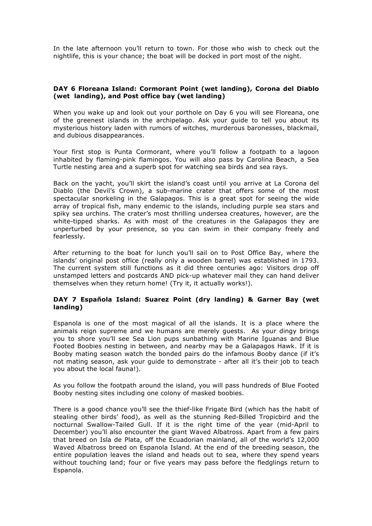In the late afternoon you'll return to town. For those who wish to check out the nightlife, this is your chance; the boat will be docked in port most of the night.

#### **DAY 6 Floreana Island: Cormorant Point (wet landing), Corona del Diablo (wet landing), and Post office bay (wet landing)**

When you wake up and look out your porthole on Day 6 you will see Floreana, one of the greenest islands in the archipelago. Ask your guide to tell you about its mysterious history laden with rumors of witches, murderous baronesses, blackmail, and dubious disappearances.

Your first stop is Punta Cormorant, where you'll follow a footpath to a lagoon inhabited by flaming-pink flamingos. You will also pass by Carolina Beach, a Sea Turtle nesting area and a superb spot for watching sea birds and sea rays.

Back on the yacht, you'll skirt the island's coast until you arrive at La Corona del Diablo (the Devil's Crown), a sub-marine crater that offers some of the most spectacular snorkeling in the Galapagos. This is a great spot for seeing the wide array of tropical fish, many endemic to the islands, including purple sea stars and spiky sea urchins. The crater's most thrilling undersea creatures, however, are the white-tipped sharks. As with most of the creatures in the Galapagos they are unperturbed by your presence, so you can swim in their company freely and fearlessly.

After returning to the boat for lunch you'll sail on to Post Office Bay, where the islands' original post office (really only a wooden barrel) was established in 1793. The current system still functions as it did three centuries ago: Visitors drop off unstamped letters and postcards AND pick-up whatever mail they can hand deliver themselves when they return home! (Try it, it actually works!).

### **DAY 7 Española Island: Suarez Point (dry landing) & Garner Bay (wet landing)**

Espanola is one of the most magical of all the islands. It is a place where the animals reign supreme and we humans are merely guests. As your dingy brings you to shore you'll see Sea Lion pups sunbathing with Marine Iguanas and Blue Footed Boobies nesting in between, and nearby may be a Galapagos Hawk. If it is Booby mating season watch the bonded pairs do the infamous Booby dance (if it's not mating season, ask your guide to demonstrate - after all it's their job to teach you about the local fauna!).

As you follow the footpath around the island, you will pass hundreds of Blue Footed Booby nesting sites including one colony of masked boobies.

There is a good chance you'll see the thief-like Frigate Bird (which has the habit of stealing other birds' food), as well as the stunning Red-Billed Tropicbird and the nocturnal Swallow-Tailed Gull. If it is the right time of the year (mid-April to December) you'll also encounter the giant Waved Albatross. Apart from a few pairs that breed on Isla de Plata, off the Ecuadorian mainland, all of the world's 12,000 Waved Albatross breed on Espanola Island. At the end of the breeding season, the entire population leaves the island and heads out to sea, where they spend years without touching land; four or five years may pass before the fledglings return to Espanola.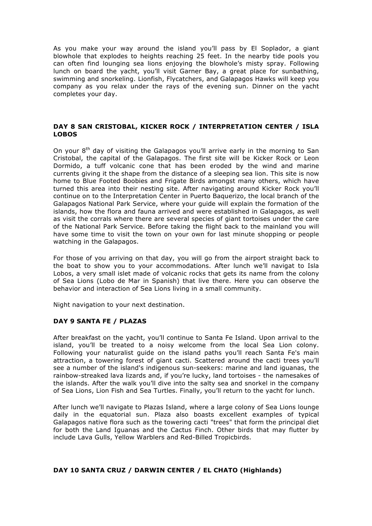As you make your way around the island you'll pass by El Soplador, a giant blowhole that explodes to heights reaching 25 feet. In the nearby tide pools you can often find lounging sea lions enjoying the blowhole's misty spray. Following lunch on board the yacht, you'll visit Garner Bay, a great place for sunbathing, swimming and snorkeling. Lionfish, Flycatchers, and Galapagos Hawks will keep you company as you relax under the rays of the evening sun. Dinner on the yacht completes your day.

### **DAY 8 SAN CRISTOBAL, KICKER ROCK / INTERPRETATION CENTER / ISLA LOBOS**

On your 8<sup>th</sup> day of visiting the Galapagos you'll arrive early in the morning to San Cristobal, the capital of the Galapagos. The first site will be Kicker Rock or Leon Dormido, a tuff volcanic cone that has been eroded by the wind and marine currents giving it the shape from the distance of a sleeping sea lion. This site is now home to Blue Footed Boobies and Frigate Birds amongst many others, which have turned this area into their nesting site. After navigating around Kicker Rock you'll continue on to the Interpretation Center in Puerto Baquerizo, the local branch of the Galapagos National Park Service, where your guide will explain the formation of the islands, how the flora and fauna arrived and were established in Galapagos, as well as visit the corrals where there are several species of giant tortoises under the care of the National Park Service. Before taking the flight back to the mainland you will have some time to visit the town on your own for last minute shopping or people watching in the Galapagos.

For those of you arriving on that day, you will go from the airport straight back to the boat to show you to your accommodations. After lunch we'll navigat to Isla Lobos, a very small islet made of volcanic rocks that gets its name from the colony of Sea Lions (Lobo de Mar in Spanish) that live there. Here you can observe the behavior and interaction of Sea Lions living in a small community.

Night navigation to your next destination.

## **DAY 9 SANTA FE / PLAZAS**

After breakfast on the yacht, you'll continue to Santa Fe Island. Upon arrival to the island, you'll be treated to a noisy welcome from the local Sea Lion colony. Following your naturalist guide on the island paths you'll reach Santa Fe's main attraction, a towering forest of giant cacti. Scattered around the cacti trees you'll see a number of the island's indigenous sun-seekers: marine and land iguanas, the rainbow-streaked lava lizards and, if you're lucky, land tortoises - the namesakes of the islands. After the walk you'll dive into the salty sea and snorkel in the company of Sea Lions, Lion Fish and Sea Turtles. Finally, you'll return to the yacht for lunch.

After lunch we'll navigate to Plazas Island, where a large colony of Sea Lions lounge daily in the equatorial sun. Plaza also boasts excellent examples of typical Galapagos native flora such as the towering cacti "trees" that form the principal diet for both the Land Iguanas and the Cactus Finch. Other birds that may flutter by include Lava Gulls, Yellow Warblers and Red-Billed Tropicbirds.

#### **DAY 10 SANTA CRUZ / DARWIN CENTER / EL CHATO (Highlands)**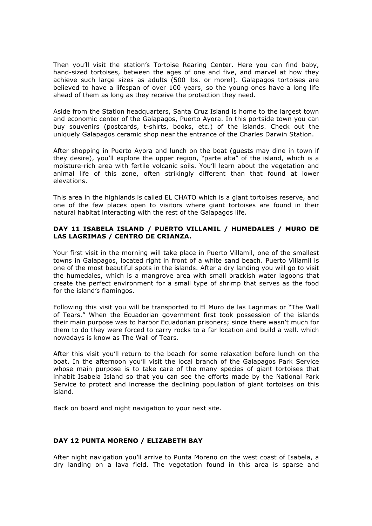Then you'll visit the station's Tortoise Rearing Center. Here you can find baby, hand-sized tortoises, between the ages of one and five, and marvel at how they achieve such large sizes as adults (500 lbs. or more!). Galapagos tortoises are believed to have a lifespan of over 100 years, so the young ones have a long life ahead of them as long as they receive the protection they need.

Aside from the Station headquarters, Santa Cruz Island is home to the largest town and economic center of the Galapagos, Puerto Ayora. In this portside town you can buy souvenirs (postcards, t-shirts, books, etc.) of the islands. Check out the uniquely Galapagos ceramic shop near the entrance of the Charles Darwin Station.

After shopping in Puerto Ayora and lunch on the boat (guests may dine in town if they desire), you'll explore the upper region, "parte alta" of the island, which is a moisture-rich area with fertile volcanic soils. You'll learn about the vegetation and animal life of this zone, often strikingly different than that found at lower elevations.

This area in the highlands is called EL CHATO which is a giant tortoises reserve, and one of the few places open to visitors where giant tortoises are found in their natural habitat interacting with the rest of the Galapagos life.

### **DAY 11 ISABELA ISLAND / PUERTO VILLAMIL / HUMEDALES / MURO DE LAS LAGRIMAS / CENTRO DE CRIANZA.**

Your first visit in the morning will take place in Puerto Villamil, one of the smallest towns in Galapagos, located right in front of a white sand beach. Puerto Villamil is one of the most beautiful spots in the islands. After a dry landing you will go to visit the humedales, which is a mangrove area with small brackish water lagoons that create the perfect environment for a small type of shrimp that serves as the food for the island's flamingos.

Following this visit you will be transported to El Muro de las Lagrimas or "The Wall of Tears." When the Ecuadorian government first took possession of the islands their main purpose was to harbor Ecuadorian prisoners; since there wasn't much for them to do they were forced to carry rocks to a far location and build a wall. which nowadays is know as The Wall of Tears.

After this visit you'll return to the beach for some relaxation before lunch on the boat. In the afternoon you'll visit the local branch of the Galapagos Park Service whose main purpose is to take care of the many species of giant tortoises that inhabit Isabela Island so that you can see the efforts made by the National Park Service to protect and increase the declining population of giant tortoises on this island.

Back on board and night navigation to your next site.

#### **DAY 12 PUNTA MORENO / ELIZABETH BAY**

After night navigation you'll arrive to Punta Moreno on the west coast of Isabela, a dry landing on a lava field. The vegetation found in this area is sparse and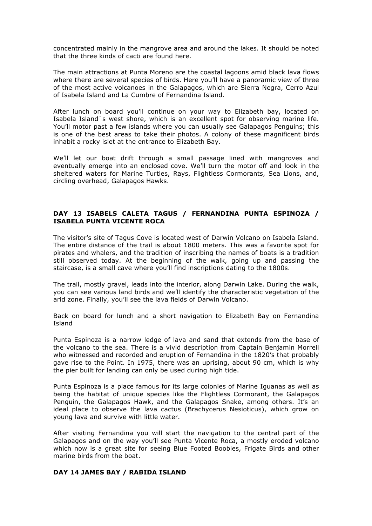concentrated mainly in the mangrove area and around the lakes. It should be noted that the three kinds of cacti are found here.

The main attractions at Punta Moreno are the coastal lagoons amid black lava flows where there are several species of birds. Here you'll have a panoramic view of three of the most active volcanoes in the Galapagos, which are Sierra Negra, Cerro Azul of Isabela Island and La Cumbre of Fernandina Island.

After lunch on board you'll continue on your way to Elizabeth bay, located on Isabela Island`s west shore, which is an excellent spot for observing marine life. You'll motor past a few islands where you can usually see Galapagos Penguins; this is one of the best areas to take their photos. A colony of these magnificent birds inhabit a rocky islet at the entrance to Elizabeth Bay.

We'll let our boat drift through a small passage lined with mangroves and eventually emerge into an enclosed cove. We'll turn the motor off and look in the sheltered waters for Marine Turtles, Rays, Flightless Cormorants, Sea Lions, and, circling overhead, Galapagos Hawks.

### **DAY 13 ISABELS CALETA TAGUS / FERNANDINA PUNTA ESPINOZA / ISABELA PUNTA VICENTE ROCA**

The visitor's site of Tagus Cove is located west of Darwin Volcano on Isabela Island. The entire distance of the trail is about 1800 meters. This was a favorite spot for pirates and whalers, and the tradition of inscribing the names of boats is a tradition still observed today. At the beginning of the walk, going up and passing the staircase, is a small cave where you'll find inscriptions dating to the 1800s.

The trail, mostly gravel, leads into the interior, along Darwin Lake. During the walk, you can see various land birds and we'll identify the characteristic vegetation of the arid zone. Finally, you'll see the lava fields of Darwin Volcano.

Back on board for lunch and a short navigation to Elizabeth Bay on Fernandina Island

Punta Espinoza is a narrow ledge of lava and sand that extends from the base of the volcano to the sea. There is a vivid description from Captain Benjamin Morrell who witnessed and recorded and eruption of Fernandina in the 1820's that probably gave rise to the Point. In 1975, there was an uprising, about 90 cm, which is why the pier built for landing can only be used during high tide.

Punta Espinoza is a place famous for its large colonies of Marine Iguanas as well as being the habitat of unique species like the Flightless Cormorant, the Galapagos Penguin, the Galapagos Hawk, and the Galapagos Snake, among others. It's an ideal place to observe the lava cactus (Brachycerus Nesioticus), which grow on young lava and survive with little water.

After visiting Fernandina you will start the navigation to the central part of the Galapagos and on the way you'll see Punta Vicente Roca, a mostly eroded volcano which now is a great site for seeing Blue Footed Boobies, Frigate Birds and other marine birds from the boat.

#### **DAY 14 JAMES BAY / RABIDA ISLAND**